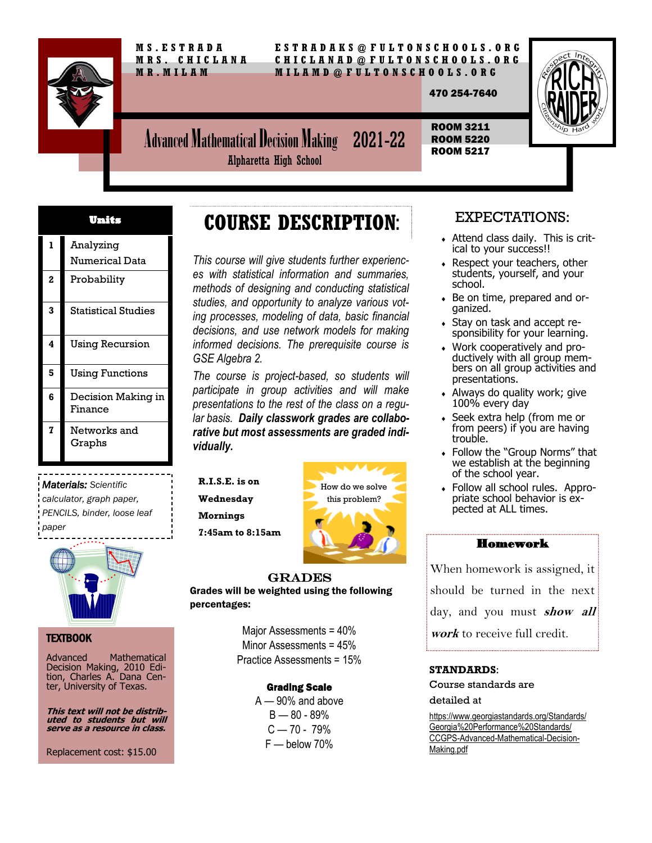

 **M S . E S T R A D A E S T R A D A K S @ F U L T O N S C H O O L S . O R G M R S . C H I C L A N A C H I C L A N A D @ F U L T O N S C H O O L S . O R G M R . M I L A M M I L A M D @ F U L T O N S C H O O L S . O R G**

470 254-7640



Advanced Mathematical Decision Making 2021-22 ROOM 3211 ROOM 5220 ROOM 5217

 Analyzing Numerical Data Probability Statistical Studies Using Recursion Using Functions Decision Making in Finance Networks and Graphs **Units** 

*Materials: Scientific calculator, graph paper, PENCILS, binder, loose leaf paper*



#### TEXTBOOK

Advanced Mathematical Decision Making, 2010 Edition, Charles A. Dana Center, University of Texas.

**This text will not be distributed to students but will serve as a resource in class.**

Replacement cost: \$15.00

### **COURSE DESCRIPTION**:

Alpharetta High School

*This course will give students further experiences with statistical information and summaries, methods of designing and conducting statistical studies, and opportunity to analyze various voting processes, modeling of data, basic financial decisions, and use network models for making informed decisions. The prerequisite course is GSE Algebra 2.*

*The course is project-based, so students will participate in group activities and will make presentations to the rest of the class on a regular basis. Daily classwork grades are collaborative but most assessments are graded individually.*

**R.I.S.E. is on** 

**Wednesday Mornings** 

**7:45am to 8:15am**



GRADES Grades will be weighted using the following percentages:

> Major Assessments = 40% Minor Assessments = 45% Practice Assessments = 15%

#### Grading Scale

A — 90% and above B — 80 - 89%  $C = 70 - 79%$ F — below 70%

### EXPECTATIONS:

- Attend class daily. This is critical to your success!!
- Respect your teachers, other students, yourself, and your school.
- Be on time, prepared and organized.
- Stay on task and accept responsibility for your learning.
- Work cooperatively and productively with all group members on all group activities and presentations.
- Always do quality work; give 100% every day
- Seek extra help (from me or from peers) if you are having trouble.
- Follow the "Group Norms" that we establish at the beginning of the school year.
- Follow all school rules. Appropriate school behavior is expected at ALL times.

#### Homework

When homework is assigned, it should be turned in the next day, and you must **show all work** to receive full credit.

#### **STANDARDS**:

Course standards are detailed at

https://www.georgiastandards.org/Standards/ Georgia%20Performance%20Standards/ CCGPS-Advanced-Mathematical-Decision-Making.pdf